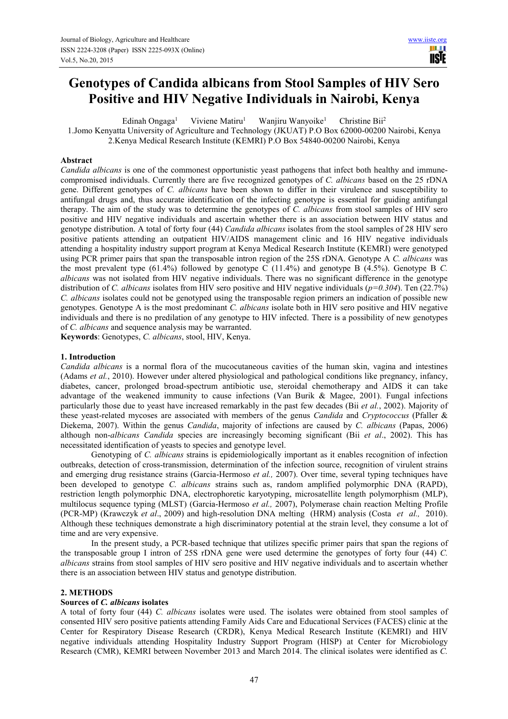# **Genotypes of Candida albicans from Stool Samples of HIV Sero Positive and HIV Negative Individuals in Nairobi, Kenya**

Edinah Ongaga $1$ Viviene Matiru<sup>1</sup> Wanjiru Wanyoike<sup>1</sup> Christine Bii<sup>2</sup>

1.Jomo Kenyatta University of Agriculture and Technology (JKUAT) P.O Box 62000-00200 Nairobi, Kenya

2.Kenya Medical Research Institute (KEMRI) P.O Box 54840-00200 Nairobi, Kenya

# **Abstract**

*Candida albicans* is one of the commonest opportunistic yeast pathogens that infect both healthy and immunecompromised individuals. Currently there are five recognized genotypes of *C. albicans* based on the 25 rDNA gene. Different genotypes of *C. albicans* have been shown to differ in their virulence and susceptibility to antifungal drugs and, thus accurate identification of the infecting genotype is essential for guiding antifungal therapy. The aim of the study was to determine the genotypes of *C. albicans* from stool samples of HIV sero positive and HIV negative individuals and ascertain whether there is an association between HIV status and genotype distribution. A total of forty four (44) *Candida albicans* isolates from the stool samples of 28 HIV sero positive patients attending an outpatient HIV/AIDS management clinic and 16 HIV negative individuals attending a hospitality industry support program at Kenya Medical Research Institute (KEMRI) were genotyped using PCR primer pairs that span the transposable intron region of the 25S rDNA. Genotype A *C. albicans* was the most prevalent type (61.4%) followed by genotype C (11.4%) and genotype B (4.5%). Genotype B *C. albicans* was not isolated from HIV negative individuals. There was no significant difference in the genotype distribution of *C. albicans* isolates from HIV sero positive and HIV negative individuals (*p=0.304*). Ten (22.7%) *C. albicans* isolates could not be genotyped using the transposable region primers an indication of possible new genotypes. Genotype A is the most predominant *C. albicans* isolate both in HIV sero positive and HIV negative individuals and there is no predilation of any genotype to HIV infected. There is a possibility of new genotypes of *C. albicans* and sequence analysis may be warranted.

**Keywords**: Genotypes, *C. albicans*, stool, HIV, Kenya.

# **1. Introduction**

*Candida albicans* is a normal flora of the mucocutaneous cavities of the human skin, vagina and intestines (Adams *et al.*, 2010). However under altered physiological and pathological conditions like pregnancy, infancy, diabetes, cancer, prolonged broad-spectrum antibiotic use, steroidal chemotherapy and AIDS it can take advantage of the weakened immunity to cause infections (Van Burik & Magee, 2001). Fungal infections particularly those due to yeast have increased remarkably in the past few decades (Bii *et al.*, 2002). Majority of these yeast-related mycoses are associated with members of the genus *Candida* and *Cryptococcus* (Pfaller & Diekema, 2007). Within the genus *Candida*, majority of infections are caused by *C. albicans* (Papas, 2006) although non-*albicans Candida* species are increasingly becoming significant (Bii *et al*., 2002). This has necessitated identification of yeasts to species and genotype level.

Genotyping of *C. albicans* strains is epidemiologically important as it enables recognition of infection outbreaks, detection of cross-transmission, determination of the infection source, recognition of virulent strains and emerging drug resistance strains (Garcia-Hermoso *et al.,* 2007). Over time, several typing techniques have been developed to genotype *C. albicans* strains such as, random amplified polymorphic DNA (RAPD), restriction length polymorphic DNA, electrophoretic karyotyping, microsatellite length polymorphism (MLP), multilocus sequence typing (MLST) (Garcia-Hermoso *et al.,* 2007), Polymerase chain reaction Melting Profile (PCR-MP) (Krawczyk *et al*., 2009) and high-resolution DNA melting (HRM) analysis (Costa *et al.,* 2010). Although these techniques demonstrate a high discriminatory potential at the strain level, they consume a lot of time and are very expensive.

In the present study, a PCR-based technique that utilizes specific primer pairs that span the regions of the transposable group I intron of 25S rDNA gene were used determine the genotypes of forty four (44) *C. albicans* strains from stool samples of HIV sero positive and HIV negative individuals and to ascertain whether there is an association between HIV status and genotype distribution.

# **2. METHODS**

# **Sources of** *C. albicans* **isolates**

A total of forty four (44) *C. albicans* isolates were used. The isolates were obtained from stool samples of consented HIV sero positive patients attending Family Aids Care and Educational Services (FACES) clinic at the Center for Respiratory Disease Research (CRDR), Kenya Medical Research Institute (KEMRI) and HIV negative individuals attending Hospitality Industry Support Program (HISP) at Center for Microbiology Research (CMR), KEMRI between November 2013 and March 2014. The clinical isolates were identified as *C.*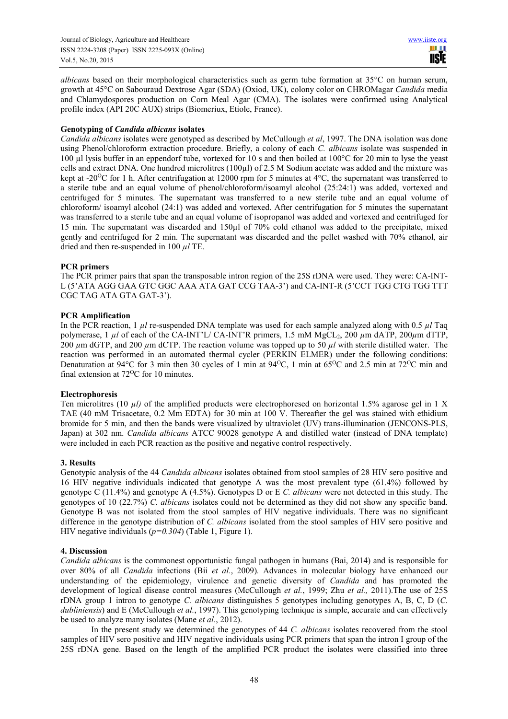*albicans* based on their morphological characteristics such as germ tube formation at 35°C on human serum, growth at 45°C on Sabouraud Dextrose Agar (SDA) (Oxiod, UK), colony color on CHROMagar *Candida* media and Chlamydospores production on Corn Meal Agar (CMA). The isolates were confirmed using Analytical profile index (API 20C AUX) strips (Biomeriux, Etiole, France).

# **Genotyping of** *Candida albicans* **isolates**

*Candida albicans* isolates were genotyped as described by McCullough *et al*, 1997. The DNA isolation was done using Phenol/chloroform extraction procedure. Briefly, a colony of each *C. albicans* isolate was suspended in 100 ul lysis buffer in an eppendorf tube, vortexed for 10 s and then boiled at  $100^{\circ}$ C for 20 min to lyse the yeast cells and extract DNA. One hundred microlitres (100µl) of 2.5 M Sodium acetate was added and the mixture was kept at -20<sup>o</sup>C for 1 h. After centrifugation at 12000 rpm for 5 minutes at 4<sup>o</sup>C, the supernatant was transferred to a sterile tube and an equal volume of phenol/chloroform/isoamyl alcohol (25:24:1) was added, vortexed and centrifuged for 5 minutes. The supernatant was transferred to a new sterile tube and an equal volume of chloroform/ isoamyl alcohol (24:1) was added and vortexed. After centrifugation for 5 minutes the supernatant was transferred to a sterile tube and an equal volume of isopropanol was added and vortexed and centrifuged for 15 min. The supernatant was discarded and 150µl of 70% cold ethanol was added to the precipitate, mixed gently and centrifuged for 2 min. The supernatant was discarded and the pellet washed with 70% ethanol, air dried and then re-suspended in 100 *µl* TE.

# **PCR primers**

The PCR primer pairs that span the transposable intron region of the 25S rDNA were used. They were: CA-INT-L (5'ATA AGG GAA GTC GGC AAA ATA GAT CCG TAA-3') and CA-INT-R (5'CCT TGG CTG TGG TTT CGC TAG ATA GTA GAT-3').

# **PCR Amplification**

In the PCR reaction, 1 *µl* re-suspended DNA template was used for each sample analyzed along with 0.5 *µl* Taq polymerase, 1  $\mu l$  of each of the CA-INT'L/ CA-INT'R primers, 1.5 mM MgCL<sub>2</sub>, 200  $\mu$ m dATP, 200 $\mu$ m dTTP, 200 *µ*m dGTP, and 200 *µ*m dCTP. The reaction volume was topped up to 50 *µl* with sterile distilled water. The reaction was performed in an automated thermal cycler (PERKIN ELMER) under the following conditions: Denaturation at 94°C for 3 min then 30 cycles of 1 min at 94°C, 1 min at  $65^{\circ}$ C and 2.5 min at 72°C min and final extension at  $72^{\circ}$ C for 10 minutes.

# **Electrophoresis**

Ten microlitres (10  $\mu$ *l*) of the amplified products were electrophoresed on horizontal 1.5% agarose gel in 1 X TAE (40 mM Trisacetate, 0.2 Mm EDTA) for 30 min at 100 V. Thereafter the gel was stained with ethidium bromide for 5 min, and then the bands were visualized by ultraviolet (UV) trans-illumination (JENCONS-PLS, Japan) at 302 nm. *Candida albicans* ATCC 90028 genotype A and distilled water (instead of DNA template) were included in each PCR reaction as the positive and negative control respectively.

# **3. Results**

Genotypic analysis of the 44 *Candida albicans* isolates obtained from stool samples of 28 HIV sero positive and 16 HIV negative individuals indicated that genotype A was the most prevalent type (61.4%) followed by genotype C (11.4%) and genotype A (4.5%). Genotypes D or E *C. albicans* were not detected in this study. The genotypes of 10 (22.7%) *C. albicans* isolates could not be determined as they did not show any specific band. Genotype B was not isolated from the stool samples of HIV negative individuals. There was no significant difference in the genotype distribution of *C. albicans* isolated from the stool samples of HIV sero positive and HIV negative individuals (*p=0.304*) (Table 1, Figure 1).

# **4. Discussion**

*Candida albicans* is the commonest opportunistic fungal pathogen in humans (Bai, 2014) and is responsible for over 80% of all *Candida* infections (Bii *et al.*, 2009)*.* Advances in molecular biology have enhanced our understanding of the epidemiology, virulence and genetic diversity of *Candida* and has promoted the development of logical disease control measures (McCullough *et al.*, 1999; Zhu *et al.,* 2011).The use of 25S rDNA group 1 intron to genotype *C. albicans* distinguishes 5 genotypes including genotypes A, B, C, D (*C. dubliniensis*) and E (McCullough *et al.*, 1997). This genotyping technique is simple, accurate and can effectively be used to analyze many isolates (Mane *et al.*, 2012).

In the present study we determined the genotypes of 44 *C. albicans* isolates recovered from the stool samples of HIV sero positive and HIV negative individuals using PCR primers that span the intron I group of the 25S rDNA gene. Based on the length of the amplified PCR product the isolates were classified into three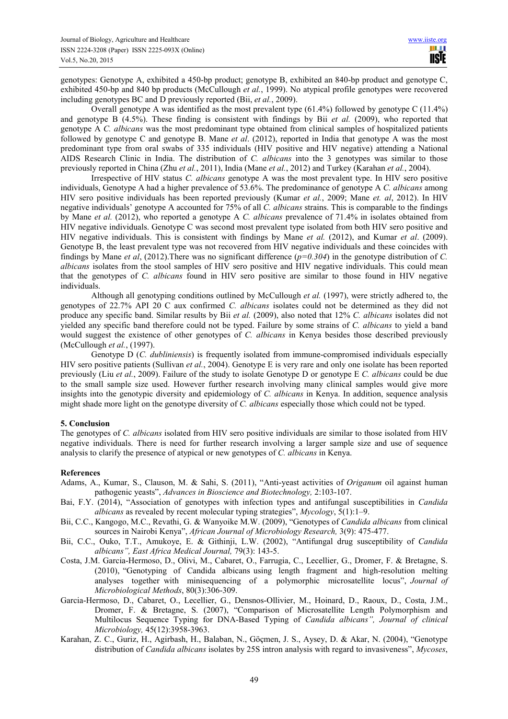genotypes: Genotype A, exhibited a 450-bp product; genotype B, exhibited an 840-bp product and genotype C, exhibited 450-bp and 840 bp products (McCullough *et al.*, 1999). No atypical profile genotypes were recovered including genotypes BC and D previously reported (Bii, *et al.*, 2009).

Overall genotype A was identified as the most prevalent type  $(61.4\%)$  followed by genotype C  $(11.4\%)$ and genotype B (4.5%). These finding is consistent with findings by Bii *et al.* (2009), who reported that genotype A *C. albicans* was the most predominant type obtained from clinical samples of hospitalized patients followed by genotype C and genotype B. Mane *et al*. (2012), reported in India that genotype A was the most predominant type from oral swabs of 335 individuals (HIV positive and HIV negative) attending a National AIDS Research Clinic in India. The distribution of *C. albicans* into the 3 genotypes was similar to those previously reported in China (Zhu *et al.*, 2011), India (Mane *et al.*, 2012) and Turkey (Karahan *et al.*, 2004).

Irrespective of HIV status *C. albicans* genotype A was the most prevalent type. In HIV sero positive individuals, Genotype A had a higher prevalence of 53.6%. The predominance of genotype A *C. albicans* among HIV sero positive individuals has been reported previously (Kumar *et al.*, 2009; Mane *et. al*, 2012). In HIV negative individuals' genotype A accounted for 75% of all *C. albicans* strains. This is comparable to the findings by Mane *et al.* (2012), who reported a genotype A *C. albicans* prevalence of 71.4% in isolates obtained from HIV negative individuals. Genotype C was second most prevalent type isolated from both HIV sero positive and HIV negative individuals. This is consistent with findings by Mane *et al.* (2012), and Kumar *et al*. (2009). Genotype B, the least prevalent type was not recovered from HIV negative individuals and these coincides with findings by Mane *et al.* (2012). There was no significant difference  $(p=0.304)$  in the genotype distribution of *C*. *albicans* isolates from the stool samples of HIV sero positive and HIV negative individuals. This could mean that the genotypes of *C. albicans* found in HIV sero positive are similar to those found in HIV negative individuals.

Although all genotyping conditions outlined by McCullough *et al.* (1997), were strictly adhered to, the genotypes of 22.7% API 20 C aux confirmed *C. albicans* isolates could not be determined as they did not produce any specific band. Similar results by Bii *et al.* (2009), also noted that 12% *C. albicans* isolates did not yielded any specific band therefore could not be typed. Failure by some strains of *C. albicans* to yield a band would suggest the existence of other genotypes of *C. albicans* in Kenya besides those described previously (McCullough *et al.*, (1997).

Genotype D (*C. dubliniensis*) is frequently isolated from immune-compromised individuals especially HIV sero positive patients (Sullivan *et al.*, 2004). Genotype E is very rare and only one isolate has been reported previously (Liu *et al.*, 2009). Failure of the study to isolate Genotype D or genotype E *C. albicans* could be due to the small sample size used. However further research involving many clinical samples would give more insights into the genotypic diversity and epidemiology of *C. albicans* in Kenya. In addition, sequence analysis might shade more light on the genotype diversity of *C. albicans* especially those which could not be typed.

# **5. Conclusion**

The genotypes of *C. albicans* isolated from HIV sero positive individuals are similar to those isolated from HIV negative individuals. There is need for further research involving a larger sample size and use of sequence analysis to clarify the presence of atypical or new genotypes of *C. albicans* in Kenya.

# **References**

- Adams, A., Kumar, S., Clauson, M. & Sahi, S. (2011), "Anti-yeast activities of *Origanum* oil against human pathogenic yeasts", *Advances in Bioscience and Biotechnology,* 2:103-107.
- Bai, F.Y. (2014), "Association of genotypes with infection types and antifungal susceptibilities in *Candida albicans* as revealed by recent molecular typing strategies", *Mycology*, 5(1):1–9.
- Bii, C.C., Kangogo, M.C., Revathi, G. & Wanyoike M.W. (2009), "Genotypes of *Candida albicans* from clinical sources in Nairobi Kenya", *African Journal of Microbiology Research,* 3(9): 475-477.
- Bii, C.C., Ouko, T.T., Amukoye, E. & Githinji, L.W. (2002), "Antifungal drug susceptibility of *Candida albicans", East Africa Medical Journal,* 79(3): 143-5.
- Costa, J.M. Garcia-Hermoso, D., Olivi, M., Cabaret, O., Farrugia, C., Lecellier, G., Dromer, F. & Bretagne, S. (2010), "Genotyping of Candida albicans using length fragment and high-resolution melting analyses together with minisequencing of a polymorphic microsatellite locus", *Journal of Microbiological Methods*, 80(3):306-309.
- Garcia-Hermoso, D., Cabaret, O., Lecellier, G., Densnos-Ollivier, M., Hoinard, D., Raoux, D., Costa, J.M., Dromer, F. & Bretagne, S. (2007), "Comparison of Microsatellite Length Polymorphism and Multilocus Sequence Typing for DNA-Based Typing of *Candida albicans", Journal of clinical Microbiology,* 45(12):3958-3963.
- Karahan, Z. C., Guriz, H., Agirbash, H., Balaban, N., Göçmen, J. S., Aysey, D. & Akar, N. (2004), "Genotype distribution of *Candida albicans* isolates by 25S intron analysis with regard to invasiveness", *Mycoses*,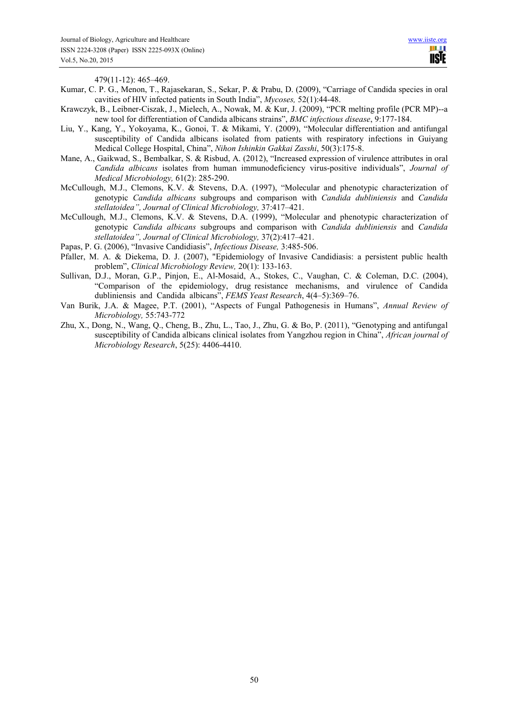479(11-12): 465–469.

- Kumar, C. P. G., Menon, T., Rajasekaran, S., Sekar, P. & Prabu, D. (2009), "Carriage of Candida species in oral cavities of HIV infected patients in South India", *Mycoses,* 52(1):44-48.
- Krawczyk, B., Leibner-Ciszak, J., Mielech, A., Nowak, M. & Kur, J. (2009), "PCR melting profile (PCR MP)--a new tool for differentiation of Candida albicans strains", *BMC infectious disease*, 9:177-184.
- Liu, Y., Kang, Y., Yokoyama, K., Gonoi, T. & Mikami, Y. (2009), "Molecular differentiation and antifungal susceptibility of Candida albicans isolated from patients with respiratory infections in Guiyang Medical College Hospital, China", *Nihon Ishinkin Gakkai Zasshi*, 50(3):175-8.
- Mane, A., Gaikwad, S., Bembalkar, S. & Risbud, A. (2012), "Increased expression of virulence attributes in oral *Candida albicans* isolates from human immunodeficiency virus-positive individuals", *Journal of Medical Microbiology,* 61(2): 285-290.
- McCullough, M.J., Clemons, K.V. & Stevens, D.A. (1997), "Molecular and phenotypic characterization of genotypic *Candida albicans* subgroups and comparison with *Candida dubliniensis* and *Candida stellatoidea", Journal of Clinical Microbiology,* 37:417–421.
- McCullough, M.J., Clemons, K.V. & Stevens, D.A. (1999), "Molecular and phenotypic characterization of genotypic *Candida albicans* subgroups and comparison with *Candida dubliniensis* and *Candida stellatoidea", Journal of Clinical Microbiology,* 37(2):417–421.
- Papas, P. G. (2006), "Invasive Candidiasis", *Infectious Disease,* 3:485-506.
- Pfaller, M. A. & Diekema, D. J. (2007), "Epidemiology of Invasive Candidiasis: a persistent public health problem", *Clinical Microbiology Review,* 20(1): 133-163.
- Sullivan, D.J., Moran, G.P., Pinjon, E., Al-Mosaid, A., Stokes, C., Vaughan, C. & Coleman, D.C. (2004), "Comparison of the epidemiology, drug resistance mechanisms, and virulence of Candida dubliniensis and Candida albicans", *FEMS Yeast Research*, 4(4–5):369–76.
- Van Burik, J.A. & Magee, P.T. (2001), "Aspects of Fungal Pathogenesis in Humans", *Annual Review of Microbiology,* 55:743-772
- Zhu, X., Dong, N., Wang, Q., Cheng, B., Zhu, L., Tao, J., Zhu, G. & Bo, P. (2011), "Genotyping and antifungal susceptibility of Candida albicans clinical isolates from Yangzhou region in China", *African journal of Microbiology Research*, 5(25): 4406-4410.